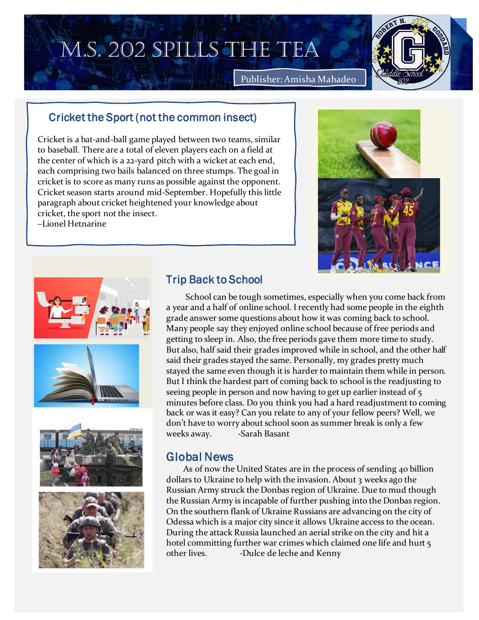# M.S. 202 SPILLS THE TEA



Publisher: Amisha Mahadeo

#### Oriolet the Cnert (not the common inc Cricket the Sport (not the common insect)

Onicket is a bat-and-ball game played between two teams, similar to baseball. There are a total of eleven players each on a field at the center of which is a 22-yard pitch with a wicket at each end, each comprising two bails balanced on three stumps. The goal in the stamps we bails balanced on three stamps. The goal in the complete this year is getting strategies to score as many runs as possible against the opponent. Cricket is to store as many runs as possible against the opponent.<br>Cricket season starts around mid-September. Hopefully this little  $\frac{1}{\sqrt{1-\frac{1}{\sqrt{1-\frac{1}{\sqrt{1-\frac{1}{\sqrt{1-\frac{1}{\sqrt{1-\frac{1}{\sqrt{1-\frac{1}{\sqrt{1-\frac{1}{\sqrt{1-\frac{1}{\sqrt{1-\frac{1}{\sqrt{1-\frac{1}{\sqrt{1-\frac{1}{\sqrt{1-\frac{1}{\sqrt{1-\frac{1}{\sqrt{1-\frac{1}{\sqrt{1-\frac{1}{\sqrt{1-\frac{1}{\sqrt{1-\frac{1}{\sqrt{1-\frac{1}{\sqrt{1-\frac{1}{\sqrt{1-\frac{1}{\sqrt{1-\frac{1}{\sqrt{1-\frac{1}{\sqrt{1-\frac{1}{\sqrt{1-\frac{1$ paragraph about cricket heightened your knowledge about  $\begin{pmatrix} 1 & 1 \end{pmatrix}$  $\frac{C H C N}{L}$ cricket, the sport not the insect. –Lionel Hetnarine





# Trip Back to School

 School can be tough sometimes, especially when you come back from a year and a half of online school. I recently had some people in the eighth grade answer some questions about how it was coming back to school. Many people say they enjoyed online school because of free periods and getting to sleep in. Also, the free periods gave them more time to study. But also, half said their grades improved while in school, and the other half said their grades stayed the same. Personally, my grades pretty much stayed the same even though it is harder to maintain them while in person. But I think the hardest part of coming back to school is the readjusting to seeing people in person and now having to get up earlier instead of 5 minutes before class. Do you think you had a hard readjustment to coming back or was it easy? Can you relate to any of your fellow peers? Well, we don't have to worry about school soon as summer break is only a few weeks away. -Sarah Basant

# Global News

 As of now the United States are in the process of sending 40 billion dollars to Ukraine to help with the invasion. About 3 weeks ago the Russian Army struck the Donbas region of Ukraine. Due to mud though the Russian Army is incapable of further pushing into the Donbas region. On the southern flank of Ukraine Russians are advancing on the city of Odessa which is a major city since it allows Ukraine access to the ocean. During the attack Russia launched an aerial strike on the city and hit a hotel committing further war crimes which claimed one life and hurt 5 other lives. -Dulce de leche and Kenny